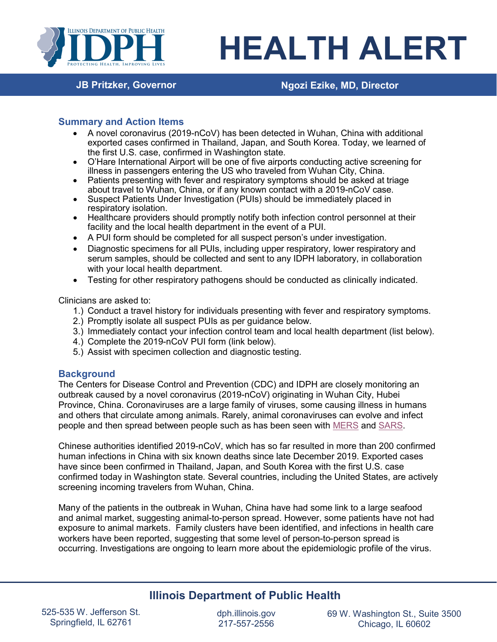

# **HEALTH ALERT**

# **JB Pritzker, Governor Ngozi Ezike, MD, Director**

## **Summary and Action Items**

- A novel coronavirus (2019-nCoV) has been detected in Wuhan, China with additional exported cases confirmed in Thailand, Japan, and South Korea. Today, we learned of the first U.S. case, confirmed in Washington state.
- O'Hare International Airport will be one of five airports conducting active screening for illness in passengers entering the US who traveled from Wuhan City, China.
- Patients presenting with fever and respiratory symptoms should be asked at triage about travel to Wuhan, China, or if any known contact with a 2019-nCoV case.
- Suspect Patients Under Investigation (PUIs) should be immediately placed in respiratory isolation.
- Healthcare providers should promptly notify both infection control personnel at their facility and the local health department in the event of a PUI.
- A PUI form should be completed for all suspect person's under investigation.
- Diagnostic specimens for all PUIs, including upper respiratory, lower respiratory and serum samples, should be collected and sent to any IDPH laboratory, in collaboration with your local health department.
- Testing for other respiratory pathogens should be conducted as clinically indicated.

Clinicians are asked to:

- 1.) Conduct a travel history for individuals presenting with fever and respiratory symptoms.
- 2.) Promptly isolate all suspect PUIs as per guidance below.
- 3.) Immediately contact your infection control team and local health department (list below).
- 4.) Complete the 2019-nCoV PUI form (link below).
- 5.) Assist with specimen collection and diagnostic testing.

# **Background**

The Centers for Disease Control and Prevention (CDC) and IDPH are closely monitoring an outbreak caused by a novel coronavirus (2019-nCoV) originating in Wuhan City, Hubei Province, China. Coronaviruses are a large family of viruses, some causing illness in humans and others that circulate among animals. Rarely, animal coronaviruses can evolve and infect people and then spread between people such as has been seen with [MERS](https://www.cdc.gov/coronavirus/mers/index.html) and [SARS.](https://www.cdc.gov/sars/index.html)

Chinese authorities identified 2019-nCoV, which has so far resulted in more than 200 confirmed human infections in China with six known deaths since late December 2019. Exported cases have since been confirmed in Thailand, Japan, and South Korea with the first U.S. case confirmed today in Washington state. Several countries, including the United States, are actively screening incoming travelers from Wuhan, China.

Many of the patients in the outbreak in Wuhan, China have had some link to a large seafood and animal market, suggesting animal-to-person spread. However, some patients have not had exposure to animal markets. Family clusters have been identified, and infections in health care workers have been reported, suggesting that some level of person-to-person spread is occurring. Investigations are ongoing to learn more about the epidemiologic profile of the virus.

# **Illinois Department of Public Health**

dph.illinois.gov 217-557-2556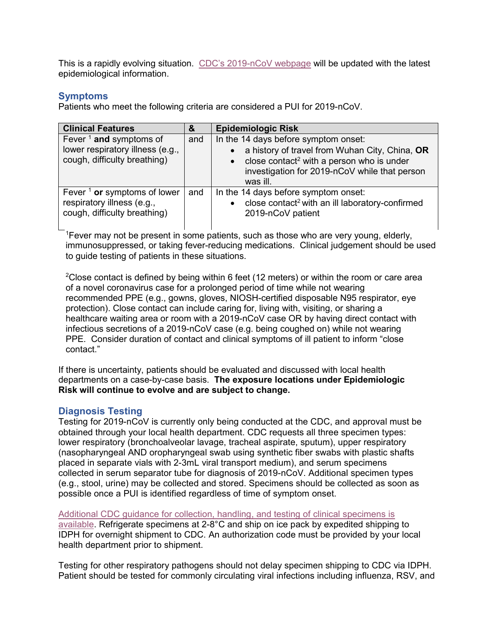This is a rapidly evolving situation. [CDC's 2019-nCoV webpage](https://www.cdc.gov/coronavirus/2019-ncov/index.html) will be updated with the latest epidemiological information.

# **Symptoms**

Patients who meet the following criteria are considered a PUI for 2019-nCoV.

| <b>Clinical Features</b>                                   | &   | <b>Epidemiologic Risk</b>                                                                                                       |
|------------------------------------------------------------|-----|---------------------------------------------------------------------------------------------------------------------------------|
| Fever $1$ and symptoms of                                  | and | In the 14 days before symptom onset:                                                                                            |
| lower respiratory illness (e.g.,                           |     | a history of travel from Wuhan City, China, OR                                                                                  |
| cough, difficulty breathing)                               |     | close contact <sup>2</sup> with a person who is under<br>$\bullet$<br>investigation for 2019-nCoV while that person<br>was ill. |
| Fever $\frac{1}{1}$ or symptoms of lower                   | and | In the 14 days before symptom onset:                                                                                            |
| respiratory illness (e.g.,<br>cough, difficulty breathing) |     | close contact <sup>2</sup> with an ill laboratory-confirmed<br>2019-nCoV patient                                                |
|                                                            |     |                                                                                                                                 |

1 Fever may not be present in some patients, such as those who are very young, elderly, immunosuppressed, or taking fever-reducing medications. Clinical judgement should be used to guide testing of patients in these situations.

 $^{2}$ Close contact is defined by being within 6 feet (12 meters) or within the room or care area of a novel coronavirus case for a prolonged period of time while not wearing recommended PPE (e.g., gowns, gloves, NIOSH-certified disposable N95 respirator, eye protection). Close contact can include caring for, living with, visiting, or sharing a healthcare waiting area or room with a 2019-nCoV case OR by having direct contact with infectious secretions of a 2019-nCoV case (e.g. being coughed on) while not wearing PPE. Consider duration of contact and clinical symptoms of ill patient to inform "close contact."

If there is uncertainty, patients should be evaluated and discussed with local health departments on a case-by-case basis. **The exposure locations under Epidemiologic Risk will continue to evolve and are subject to change.**

# **Diagnosis Testing**

Testing for 2019-nCoV is currently only being conducted at the CDC, and approval must be obtained through your local health department. CDC requests all three specimen types: lower respiratory (bronchoalveolar lavage, tracheal aspirate, sputum), upper respiratory (nasopharyngeal AND oropharyngeal swab using synthetic fiber swabs with plastic shafts placed in separate vials with 2-3mL viral transport medium), and serum specimens collected in serum separator tube for diagnosis of 2019-nCoV. Additional specimen types (e.g., stool, urine) may be collected and stored. Specimens should be collected as soon as possible once a PUI is identified regardless of time of symptom onset.

[Additional CDC guidance for collection, handling, and testing of clinical specimens is](https://www.cdc.gov/coronavirus/2019-nCoV/guidelines-clinical-specimens.html)  [available.](https://www.cdc.gov/coronavirus/2019-nCoV/guidelines-clinical-specimens.html) Refrigerate specimens at 2-8°C and ship on ice pack by expedited shipping to IDPH for overnight shipment to CDC. An authorization code must be provided by your local health department prior to shipment.

Testing for other respiratory pathogens should not delay specimen shipping to CDC via IDPH. Patient should be tested for commonly circulating viral infections including influenza, RSV, and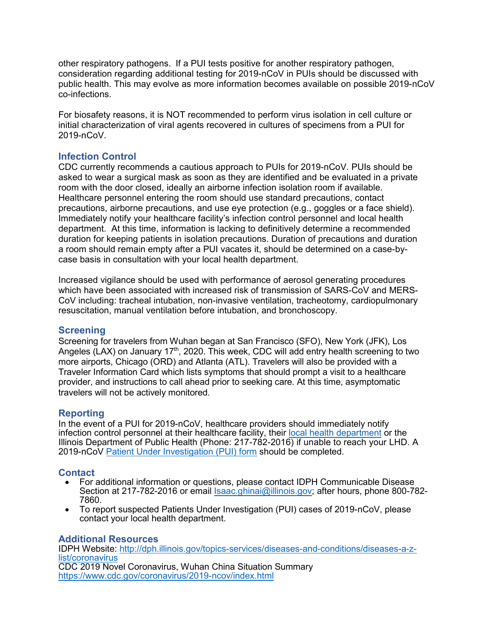other respiratory pathogens. If a PUI tests positive for another respiratory pathogen, consideration regarding additional testing for 2019-nCoV in PUIs should be discussed with public health. This may evolve as more information becomes available on possible 2019-nCoV co-infections.

For biosafety reasons, it is NOT recommended to perform virus isolation in cell culture or initial characterization of viral agents recovered in cultures of specimens from a PUI for 2019-nCoV.

# **Infection Control**

CDC currently recommends a cautious approach to PUIs for 2019-nCoV. PUIs should be asked to wear a surgical mask as soon as they are identified and be evaluated in a private room with the door closed, ideally an airborne infection isolation room if available. Healthcare personnel entering the room should use standard precautions, contact precautions, airborne precautions, and use eye protection (e.g., goggles or a face shield). Immediately notify your healthcare facility's infection control personnel and local health department. At this time, information is lacking to definitively determine a recommended duration for keeping patients in isolation precautions. Duration of precautions and duration a room should remain empty after a PUI vacates it, should be determined on a case-bycase basis in consultation with your local health department.

Increased vigilance should be used with performance of aerosol generating procedures which have been associated with increased risk of transmission of SARS-CoV and MERS-CoV including: tracheal intubation, non-invasive ventilation, tracheotomy, cardiopulmonary resuscitation, manual ventilation before intubation, and bronchoscopy.

## **Screening**

Screening for travelers from Wuhan began at San Francisco (SFO), New York (JFK), Los Angeles (LAX) on January  $17<sup>th</sup>$ , 2020. This week, CDC will add entry health screening to two more airports, Chicago (ORD) and Atlanta (ATL). Travelers will also be provided with a Traveler Information Card which lists symptoms that should prompt a visit to a healthcare provider, and instructions to call ahead prior to seeking care. At this time, asymptomatic travelers will not be actively monitored.

## **Reporting**

In the event of a PUI for 2019-nCoV, healthcare providers should immediately notify infection control personnel at their healthcare facility, their [local health department](http://www.idph.state.il.us/LHDMap/HealthRegions.aspx) or the Illinois Department of Public Health (Phone: 217-782-2016) if unable to reach your LHD. A 2019-nCoV [Patient Under Investigation \(PUI\) form](https://www.cdc.gov/coronavirus/2019-ncov/downloads/pui-form.pdf) should be completed.

## **Contact**

- For additional information or questions, please contact IDPH Communicable Disease Section at 217-782-2016 or email [Isaac.ghinai@illinois.gov;](mailto:Isaac.ghinai@illinois.gov) after hours, phone 800-782-7860.
- To report suspected Patients Under Investigation (PUI) cases of 2019-nCoV, please contact your local health department.

#### **Additional Resources**

IDPH Website: [http://dph.illinois.gov/topics-services/diseases-and-conditions/diseases-a-z](http://dph.illinois.gov/topics-services/diseases-and-conditions/diseases-a-z-list/coronavirus)[list/coronavirus](http://dph.illinois.gov/topics-services/diseases-and-conditions/diseases-a-z-list/coronavirus) CDC 2019 Novel Coronavirus, Wuhan China Situation Summary <https://www.cdc.gov/coronavirus/2019-ncov/index.html>